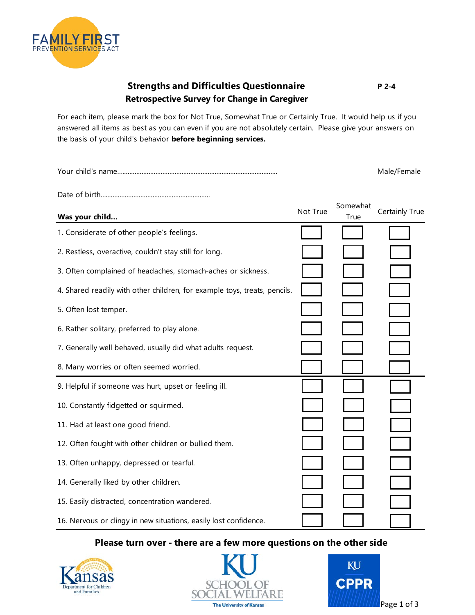

## **Strengths and Difficulties Questionnaire Retrospective Survey for Change in Caregiver**

For each item, please mark the box for Not True, Somewhat True or Certainly True. It would help us if you answered all items as best as you can even if you are not absolutely certain. Please give your answers on the basis of your child's behavior **before beginning services.** 

|                                                                           |          |                  | Male/Female    |
|---------------------------------------------------------------------------|----------|------------------|----------------|
|                                                                           |          |                  |                |
| Was your child                                                            | Not True | Somewhat<br>True | Certainly True |
| 1. Considerate of other people's feelings.                                |          |                  |                |
| 2. Restless, overactive, couldn't stay still for long.                    |          |                  |                |
| 3. Often complained of headaches, stomach-aches or sickness.              |          |                  |                |
| 4. Shared readily with other children, for example toys, treats, pencils. |          |                  |                |
| 5. Often lost temper.                                                     |          |                  |                |
| 6. Rather solitary, preferred to play alone.                              |          |                  |                |
| 7. Generally well behaved, usually did what adults request.               |          |                  |                |
| 8. Many worries or often seemed worried.                                  |          |                  |                |
| 9. Helpful if someone was hurt, upset or feeling ill.                     |          |                  |                |
| 10. Constantly fidgetted or squirmed.                                     |          |                  |                |
| 11. Had at least one good friend.                                         |          |                  |                |
| 12. Often fought with other children or bullied them.                     |          |                  |                |
| 13. Often unhappy, depressed or tearful.                                  |          |                  |                |
| 14. Generally liked by other children.                                    |          |                  |                |
| 15. Easily distracted, concentration wandered.                            |          |                  |                |
| 16. Nervous or clingy in new situations, easily lost confidence.          |          |                  |                |

## **Please turn over - there are a few more questions on the other side**







**P 2-4**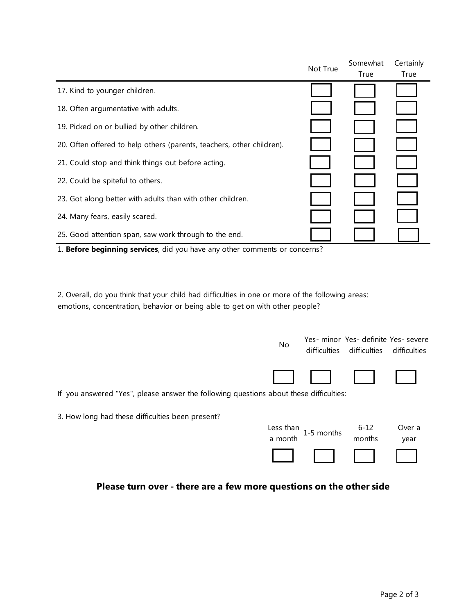|                                                                       | Not True | Somewhat | Certainly |
|-----------------------------------------------------------------------|----------|----------|-----------|
|                                                                       |          | True     | True      |
| 17. Kind to younger children.                                         |          |          |           |
| 18. Often argumentative with adults.                                  |          |          |           |
| 19. Picked on or bullied by other children.                           |          |          |           |
| 20. Often offered to help others (parents, teachers, other children). |          |          |           |
| 21. Could stop and think things out before acting.                    |          |          |           |
| 22. Could be spiteful to others.                                      |          |          |           |
| 23. Got along better with adults than with other children.            |          |          |           |
| 24. Many fears, easily scared.                                        |          |          |           |
| 25. Good attention span, saw work through to the end.                 |          |          |           |

1. **Before beginning services**, did you have any other comments or concerns?

2. Overall, do you think that your child had difficulties in one or more of the following areas: emotions, concentration, behavior or being able to get on with other people?

|                                                                                        | No        | difficulties | difficulties difficulties | Yes- minor Yes- definite Yes- severe |
|----------------------------------------------------------------------------------------|-----------|--------------|---------------------------|--------------------------------------|
|                                                                                        |           |              |                           |                                      |
| If you answered "Yes", please answer the following questions about these difficulties: |           |              |                           |                                      |
| 3. How long had these difficulties been present?                                       |           |              |                           |                                      |
|                                                                                        | Less than | 1-5 months   | $6 - 12$                  | Over a                               |
|                                                                                        | a month   |              | months                    | year                                 |
|                                                                                        |           |              |                           |                                      |

## **Please turn over - there are a few more questions on the other side**